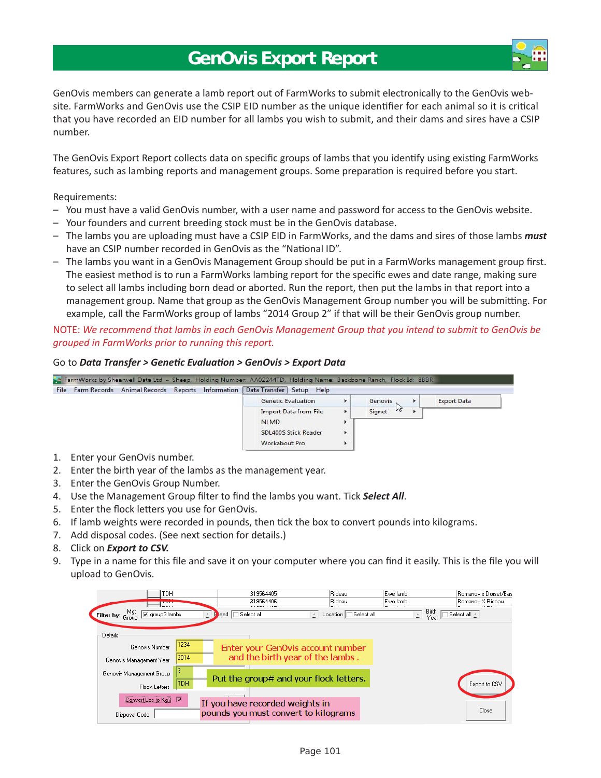# **GenOvis Export Report**



GenOvis members can generate a lamb report out of FarmWorks to submit electronically to the GenOvis website. FarmWorks and GenOvis use the CSIP EID number as the unique identifier for each animal so it is critical that you have recorded an EID number for all lambs you wish to submit, and their dams and sires have a CSIP number.

The GenOvis Export Report collects data on specific groups of lambs that you identify using existing FarmWorks features, such as lambing reports and management groups. Some preparation is required before you start.

Requirements:

- You must have a valid GenOvis number, with a user name and password for access to the GenOvis website.
- Your founders and current breeding stock must be in the GenOvis database.
- The lambs you are uploading must have a CSIP EID in FarmWorks, and the dams and sires of those lambs *must* have an CSIP number recorded in GenOvis as the "National ID".
- $-$  The lambs you want in a GenOvis Management Group should be put in a FarmWorks management group first. The easiest method is to run a FarmWorks lambing report for the specific ewes and date range, making sure to select all lambs including born dead or aborted. Run the report, then put the lambs in that report into a management group. Name that group as the GenOvis Management Group number you will be submitting. For example, call the FarmWorks group of lambs "2014 Group 2" if that will be their GenOvis group number.

NOTE: *We recommend that lambs in each GenOvis Management Group that you intend to submit to GenOvis be grouped in FarmWorks prior to running this report.*

#### Go to *Data Transfer > Genetic Evaluation > GenOvis > Export Data*



- 1. Enter your GenOvis number.
- 2. Enter the birth year of the lambs as the management year.
- 3. Enter the GenOvis Group Number.
- 4. Use the Management Group filter to find the lambs you want. Tick **Select All**.
- 5. Enter the flock letters you use for GenOvis.
- 6. If lamb weights were recorded in pounds, then tick the box to convert pounds into kilograms.
- 7. Add disposal codes. (See next section for details.)
- 8. Click on *Export to CSV.*
- 9. Type in a name for this file and save it on your computer where you can find it easily. This is the file you will upload to GenOvis.

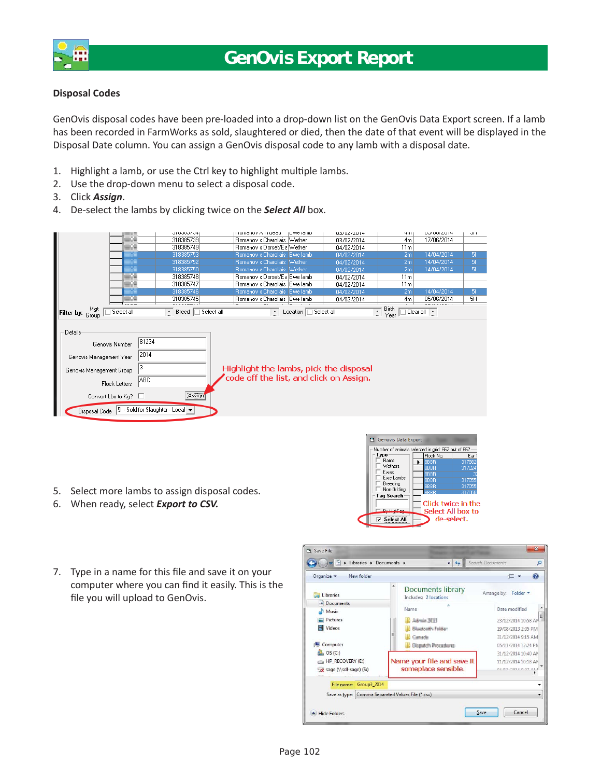

# **Disposal Codes**

GenOvis disposal codes have been pre-loaded into a drop-down list on the GenOvis Data Export screen. If a lamb has been recorded in FarmWorks as sold, slaughtered or died, then the date of that event will be displayed in the Disposal Date column. You can assign a GenOvis disposal code to any lamb with a disposal date.

- 1. Highlight a lamb, or use the Ctrl key to highlight multiple lambs.
- 2. Use the drop-down menu to select a disposal code.
- 3. Click *Assign*.
- 4. De-select the lambs by clicking twice on the *Select All* box.



- 5. Select more lambs to assign disposal codes.
- 6. When ready, select *Export to CSV.*



7. Type in a name for this file and save it on your computer where you can find it easily. This is the file you will upload to GenOvis.

| Organize -<br>New folder                          |                                            | <b>EE</b>                                                                                                                                                                          |  |  |
|---------------------------------------------------|--------------------------------------------|------------------------------------------------------------------------------------------------------------------------------------------------------------------------------------|--|--|
| Libraries<br>Documents                            | Documents library<br>Includes: 2 locations | Arrange by: Folder                                                                                                                                                                 |  |  |
| Music                                             | ۸<br>Name                                  | Date modified<br>23/12/2014 10:58 AM<br>19/08/2013 2:05 PM<br>31/12/2014 9:15 AM<br>05/11/2014 12:24 PN<br>31/12/2014 10:40 AM<br>11/12/2014 10:18 AM<br><b>0.4.15.25.25.25.23</b> |  |  |
| Pictures                                          | Jatemie 3011                               |                                                                                                                                                                                    |  |  |
| Videos                                            | Sladoath Falder                            |                                                                                                                                                                                    |  |  |
|                                                   | Ξ<br>Canada                                |                                                                                                                                                                                    |  |  |
| Computer                                          | Disputch Procedures                        |                                                                                                                                                                                    |  |  |
| OS(C.)                                            |                                            |                                                                                                                                                                                    |  |  |
| HP_RECOVERY (E:)                                  | Name your file and save it                 |                                                                                                                                                                                    |  |  |
| Sage (\\sdl-sage) (S:)                            | someplace sensible.                        |                                                                                                                                                                                    |  |  |
| Group3_2014<br>File name:                         |                                            |                                                                                                                                                                                    |  |  |
| Save as type: Comma Separated Values File (*.csv) |                                            |                                                                                                                                                                                    |  |  |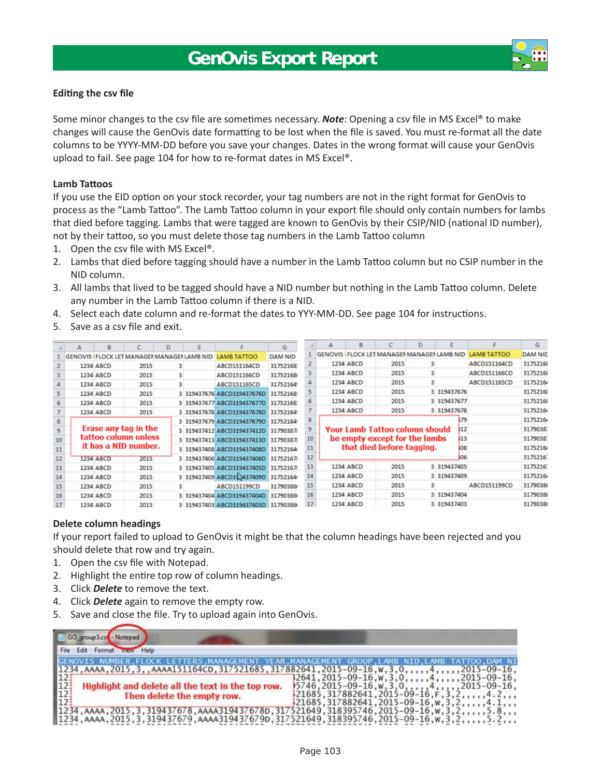

# **Editing the csv file**

Some minor changes to the csv file are sometimes necessary. *Note*: Opening a csv file in MS Excel<sup>®</sup> to make changes will cause the GenOvis date formatting to be lost when the file is saved. You must re-format all the date columns to be YYYY-MM-DD before you save your changes. Dates in the wrong format will cause your GenOvis upload to fail. See page 104 for how to re-format dates in MS Excel®.

## **Lamb TaƩ oos**

If you use the EID option on your stock recorder, your tag numbers are not in the right format for GenOvis to process as the "Lamb Tattoo". The Lamb Tattoo column in your export file should only contain numbers for lambs that died before tagging. Lambs that were tagged are known to GenOvis by their CSIP/NID (national ID number), not by their tattoo, so you must delete those tag numbers in the Lamb Tattoo column

- 1. Open the csv file with MS Excel<sup>®</sup>.
- 2. Lambs that died before tagging should have a number in the Lamb Tattoo column but no CSIP number in the NID column.
- 3. All lambs that lived to be tagged should have a NID number but nothing in the Lamb Tattoo column. Delete any number in the Lamb Tattoo column if there is a NID.
- 4. Select each date column and re-format the dates to YYY-MM-DD. See page 104 for instructions.
- 5. Save as a csy file and exit.

|    | А | в         |                      | D |                                              |                                     | G              |    | А   | в                         |                                              | D |             |          |                    | G              |
|----|---|-----------|----------------------|---|----------------------------------------------|-------------------------------------|----------------|----|-----|---------------------------|----------------------------------------------|---|-------------|----------|--------------------|----------------|
|    |   |           |                      |   | GENOVIS I FLOCK LET MANAGEN MANAGEN LAMB NID | <b>LAMB TATTOO</b>                  | <b>DAM NID</b> |    |     |                           | GENOVIS I FLOCK LET MANAGEN MANAGEN LAMB NID |   |             |          | <b>LAMB TATTOO</b> | <b>DAM NID</b> |
|    |   | 1234 ABCD | 2015                 |   |                                              | ABCD151164CD                        | 31752168       |    |     | 1234 ABCD                 | 2015                                         |   |             |          | ABCD151164CD       | 31752168       |
|    |   | 1234 ABCD | 2015                 |   |                                              | ABCD151166CD                        | 31752168       |    |     | 1234 ABCD                 | 2015                                         |   |             |          | ABCD151166CD       | 31752168       |
|    |   | 1234 ABCD | 2015                 |   |                                              | ABCD151165CD                        | 31752164       |    |     | 1234 ABCD                 | 2015                                         |   |             |          | ABCD151165CD       | 31752164       |
|    |   | 1234 ABCD | 2015                 |   |                                              | 3 319437676 ABCD319437676D 31752168 |                |    |     | 1234 ABCD                 | 2015                                         |   | 3 319437676 |          |                    | 31752168       |
|    |   | 1234 ABCD | 2015                 |   |                                              | 3 319437677 ABCD319437677D          | 31752168       |    |     | 1234 ABCD                 | 2015                                         |   | 3 319437677 |          |                    | 31752168       |
|    |   | 1234 ABCD | 2015                 |   |                                              | 3 319437678 ABCD319437678D          | 31752164       |    |     | 1234 ABCD                 | 2015                                         |   | 3 319437678 |          |                    | 31752164       |
| 8  |   |           |                      |   | 3 319437679 ABCD319437679D 31752164          |                                     |                |    | 179 |                           |                                              |   |             | 31752164 |                    |                |
| 9  |   |           | Erase any tag in the |   |                                              | 3 319437412 ABCD319437412D          | 31790387       |    |     |                           | <b>Your Lamb Tattoo column should</b>        |   |             | 12       |                    | 31790387       |
| 10 |   |           | tattoo column unless |   |                                              | 3 319437413 ABCD319437413D          | 31790387       |    |     |                           | be empty except for the lambs                |   |             | 13       |                    | 31790387       |
| 11 |   |           | it has a NID number. |   |                                              | 3 319437408 ABCD319437408D          | 31752164       |    |     | that died before tagging. |                                              |   | 108         |          | 31752164           |                |
|    |   | 1234 ABCD | 2015                 |   |                                              | 3 319437406 ABCD319437406D          | 31752167       |    |     |                           |                                              |   |             | IO6      |                    | 31752167       |
|    |   | 1234 ABCD | 2015                 |   |                                              | 3 319437405 ABCD319437405D 31752167 |                |    |     | 1234 ABCD                 | 2015                                         |   | 3 319437405 |          |                    | 31752167       |
| 14 |   | 1234 ABCD | 2015                 |   |                                              | 3 319437409 ABCD31, 437409D         | 31752164       | 14 |     | 1234 ABCD                 | 2015                                         |   | 3 319437409 |          |                    | 31752164       |
|    |   | 1234 ABCD | 2015                 |   |                                              | ABCD151199CD                        | 31790386       |    |     | 1234 ABCD                 | 2015                                         |   |             |          | ABCD151199CD       | 31790386       |
| 16 |   | 1234 ABCD | 2015                 |   |                                              | 3 319437404 ABCD319437404D 31790386 |                |    |     | 1234 ABCD                 | 2015                                         |   | 3 319437404 |          |                    | 31790386       |
|    |   | 1234 ABCD | 2015                 |   |                                              | 3 319437403 ABCD319437403D 31790386 |                |    |     | 1234 ABCD                 | 2015                                         |   | 3 319437403 |          |                    | 31790386       |

#### **Delete column headings**

If your report failed to upload to GenOvis it might be that the column headings have been rejected and you should delete that row and try again.

- 1. Open the csv file with Notepad.
- 2. Highlight the entire top row of column headings.
- 3. Click *Delete* to remove the text.
- 4. Click *Delete* again to remove the empty row.
- 5. Save and close the file. Try to upload again into GenOvis.

| GO_group3.csv - Notepad                                                                                      |                                                                         |
|--------------------------------------------------------------------------------------------------------------|-------------------------------------------------------------------------|
| Edit<br>Format View<br>File<br>Help                                                                          |                                                                         |
|                                                                                                              | LAMB NID.LAMB                                                           |
| $1234, AAAA, 2015, 3, AAAA151164CD, 317521685, 317882641, 2015-09-16, w, 3, 0, , 4, ,$                       | $2015 - 09 - 16$ .                                                      |
|                                                                                                              | $12641, 2015 - 09 - 16, W, 3, 0, , 4, , 2015 - 09 - 16$                 |
| Highlight and delete all the text in the top row.                                                            | $15746.2015 - 09 - 16, W, 3, 0, 1, 1, 1$<br>$\frac{1}{2}$ , 2015-09-16, |
| Then delete the empty row.                                                                                   | $121685, 317882641, 2015-09-16, F, 3, 2, , 4.2,$                        |
| $\begin{array}{ c c } \hline 12 \\ \hline 12 \\ 12 \\ 12 \\ \hline \end{array}$                              | $121685, 317882641, 2015-09-16, W, 3, 2, , 4.1,$                        |
| 1234.AAAA.2015.3.319437678.AAAA3194376780.317521649.318395746.2015-09-16,w,3,2,,,,,5.8,,,                    |                                                                         |
| 1234, AAAA, 2015, 3, 319437679, AAAA319437679D, 317521649, 318395746, 2015-09-16, w, 3, 2, , , , , 5. 2, , , |                                                                         |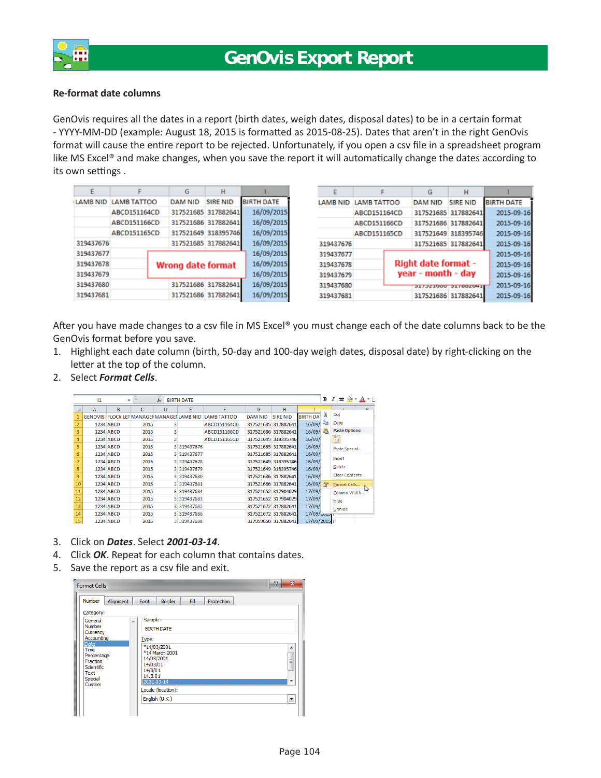

## **Re-format date columns**

GenOvis requires all the dates in a report (birth dates, weigh dates, disposal dates) to be in a certain format - YYYY-MM-DD (example: August 18, 2015 is formatted as 2015-08-25). Dates that aren't in the right GenOvis format will cause the entire report to be rejected. Unfortunately, if you open a csv file in a spreadsheet program like MS Excel® and make changes, when you save the report it will automatically change the dates according to its own settings.

|                 |                     | G                        | н                   |                   |                 |              | G                          | н                   |                   |
|-----------------|---------------------|--------------------------|---------------------|-------------------|-----------------|--------------|----------------------------|---------------------|-------------------|
| <b>LAMB NID</b> | <b>LAMB TATTOO</b>  | <b>DAM NID</b>           | <b>SIRE NID</b>     | <b>BIRTH DATE</b> | <b>LAMB NID</b> | LAMB TATTOO  | <b>DAM NID</b>             | <b>SIRE NID</b>     | <b>BIRTH DATE</b> |
|                 | ABCD151164CD        |                          | 317521685 317882641 | 16/09/2015        |                 | ABCD151164CD |                            | 317521685 317882641 | 2015-09-16        |
|                 | ABCD151166CD        |                          | 317521686 317882641 | 16/09/2015        |                 | ABCD151166CD |                            | 317521686 317882641 | 2015-09-16        |
|                 | <b>ABCD151165CD</b> |                          | 317521649 318395746 | 16/09/2015        |                 | ABCD151165CD |                            | 317521649 318395746 | 2015-09-16        |
| 319437676       |                     |                          | 317521685 317882641 | 16/09/2015        | 319437676       |              |                            | 317521685 317882641 | 2015-09-16        |
| 319437677       |                     |                          |                     | 16/09/2015        | 319437677       |              |                            |                     | 2015-09-16        |
| 319437678       |                     | <b>Wrong date format</b> |                     | 16/09/2015        | 319437678       |              | <b>Right date format -</b> |                     | 2015-09-16        |
| 319437679       |                     |                          |                     | 16/09/2015        | 319437679       |              | year - month - day         |                     | 2015-09-16        |
| 319437680       |                     |                          | 317521686 317882641 | 16/09/2015        | 319437680       |              |                            | 31/JZ100U 31/00ZU41 | 2015-09-16        |
| 319437681       |                     |                          | 317521686 317882641 | 16/09/2015        | 319437681       |              |                            | 317521686 317882641 | 2015-09-16        |

After you have made changes to a csv file in MS Excel® you must change each of the date columns back to be the GenOvis format before you save.

- 1. Highlight each date column (birth, 50-day and 100-day weigh dates, disposal date) by right-clicking on the letter at the top of the column.
- 2. Select *Format Cells*.

| fx<br><b>BIRTH DATE</b><br>$\mathbf{I}$<br>۰ |   |                  |      |   |                                                     |                     |                | в                   | $\equiv \diamondsuit \cdot A$<br>$\overline{I}$ |   |                       |
|----------------------------------------------|---|------------------|------|---|-----------------------------------------------------|---------------------|----------------|---------------------|-------------------------------------------------|---|-----------------------|
|                                              | A | B                | Ċ    | D | E                                                   | F                   | G              | н                   |                                                 |   | $\overline{V}$        |
|                                              |   |                  |      |   | <b>GENOVIS I FLOCK LET MANAGEN MANAGEN LAMB NID</b> | <b>LAMB TATTOO</b>  | <b>DAM NID</b> | <b>SIRE NID</b>     | <b>BIRTH DAT</b>                                | Ж | Cut                   |
| $\overline{2}$                               |   | 1234 ABCD        | 2015 | з |                                                     | <b>ABCD151164CD</b> |                | 317521685 317882641 | 16/09/                                          |   | Copy                  |
| 3                                            |   | 1234 ABCD        | 2015 | 3 |                                                     | <b>ABCD151166CD</b> |                | 317521686 317882641 | 16/09/1                                         |   | <b>Paste Options:</b> |
| 4                                            |   | 1234 ABCD        | 2015 | 3 |                                                     | ABCD151165CD        |                | 317521649 318395746 | 16/09/                                          |   | ē                     |
| 5                                            |   | 1234 ABCD        | 2015 |   | 3 319437676                                         |                     |                | 317521685 317882641 | 16/09/                                          |   | Paste Special         |
| 6                                            |   | 1234 ABCD        | 2015 |   | 3 319437677                                         |                     |                | 317521685 317882641 | 16/09/                                          |   |                       |
| $\overline{7}$                               |   | 1234 ABCD        | 2015 |   | 3 319437678                                         |                     |                | 317521649 318395746 | 16/09/                                          |   | Insert                |
| 8                                            |   | 1234 ABCD        | 2015 |   | 3 319437679                                         |                     |                | 317521649 318395746 | 16/09/                                          |   | Delete                |
| $\overline{9}$                               |   | 1234 ABCD        | 2015 |   | 3 319437680                                         |                     |                | 317521686 317882641 | 16/09/                                          |   | <b>Clear Contents</b> |
| 10                                           |   | 1234 ABCD        | 2015 |   | 3 319437681                                         |                     |                | 317521686 317882641 | 16/09/                                          |   | Format Cells          |
| 11                                           |   | <b>1234 ABCD</b> | 2015 |   | 3 319437684                                         |                     |                | 317521652 317904029 | 17/09/                                          |   | Column Width          |
| 12                                           |   | 1234 ABCD        | 2015 |   | 3 319437683                                         |                     |                | 317521652 317904029 | 17/09/                                          |   | Hide                  |
| 13                                           |   | 1234 ABCD        | 2015 |   | 3 319437685                                         |                     |                | 317521672 317882641 | 17/09/                                          |   | Unhide                |
| 14                                           |   | 1234 ABCD        | 2015 |   | 3 319437686                                         |                     |                | 317521672 317882641 | $17/09$ zuru                                    |   |                       |
| 15                                           |   | 1234 ABCD        | 2015 |   | 3 319437688                                         |                     |                | 317959650 317882641 | 17/09/2015 F                                    |   |                       |

- 3. Click on *Dates*. Select *2001-03-14*.
- 4. Click *OK*. Repeat for each column that contains dates.
- 5. Save the report as a csv file and exit.